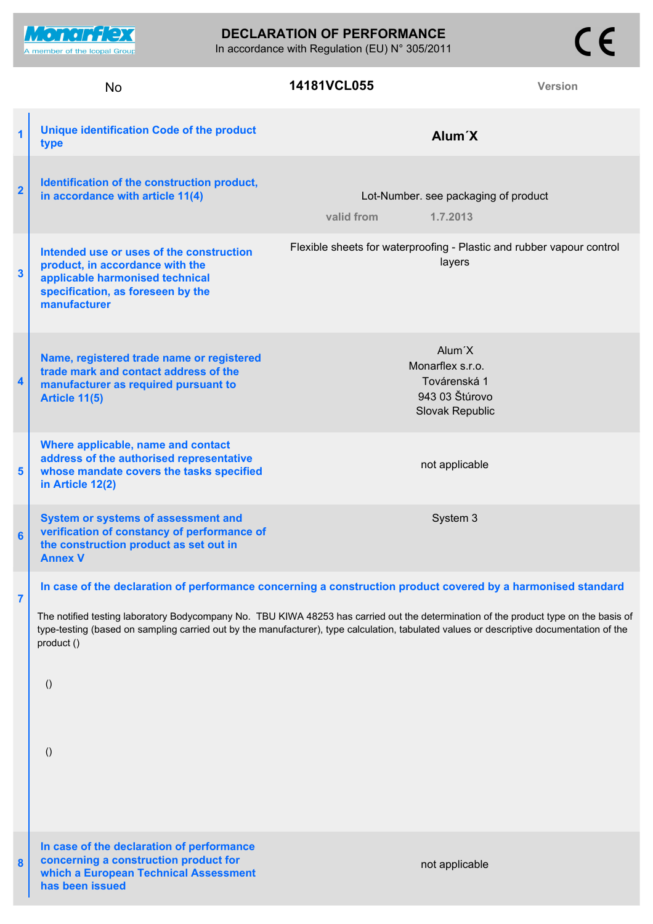**DECLARATION OF PERFORMANCE**

In accordance with Regulation (EU) N° 305/2011

**Monerflex** A member of the Icopal Group

**which a European Technical Assessment**

**has been issued**

## **14181VCL055**

 $C \in$ 

| 1                       | <b>Unique identification Code of the product</b><br>type                                                                                                                                                                                                                                                                                                                                                                                               | Alum <sup>'</sup> X                                                                          |  |
|-------------------------|--------------------------------------------------------------------------------------------------------------------------------------------------------------------------------------------------------------------------------------------------------------------------------------------------------------------------------------------------------------------------------------------------------------------------------------------------------|----------------------------------------------------------------------------------------------|--|
| $\overline{\mathbf{2}}$ | Identification of the construction product,<br>in accordance with article 11(4)                                                                                                                                                                                                                                                                                                                                                                        | Lot-Number. see packaging of product<br>valid from<br>1.7.2013                               |  |
| $\mathbf{3}$            | Intended use or uses of the construction<br>product, in accordance with the<br>applicable harmonised technical<br>specification, as foreseen by the<br>manufacturer                                                                                                                                                                                                                                                                                    | Flexible sheets for waterproofing - Plastic and rubber vapour control<br>layers              |  |
| 4                       | Name, registered trade name or registered<br>trade mark and contact address of the<br>manufacturer as required pursuant to<br>Article 11(5)                                                                                                                                                                                                                                                                                                            | Alum <sup>'</sup> X<br>Monarflex s.r.o.<br>Továrenská 1<br>943 03 Štúrovo<br>Slovak Republic |  |
| 5                       | Where applicable, name and contact<br>address of the authorised representative<br>whose mandate covers the tasks specified<br>in Article 12(2)                                                                                                                                                                                                                                                                                                         | not applicable                                                                               |  |
| $6\phantom{1}6$         | System or systems of assessment and<br>verification of constancy of performance of<br>the construction product as set out in<br><b>Annex V</b>                                                                                                                                                                                                                                                                                                         | System 3                                                                                     |  |
| 7                       | In case of the declaration of performance concerning a construction product covered by a harmonised standard<br>The notified testing laboratory Bodycompany No. TBU KIWA 48253 has carried out the determination of the product type on the basis of<br>type-testing (based on sampling carried out by the manufacturer), type calculation, tabulated values or descriptive documentation of the<br>product ()<br>$\left( \right)$<br>$\left( \right)$ |                                                                                              |  |
| 8                       | In case of the declaration of performance<br>concerning a construction product for                                                                                                                                                                                                                                                                                                                                                                     | not applicable                                                                               |  |